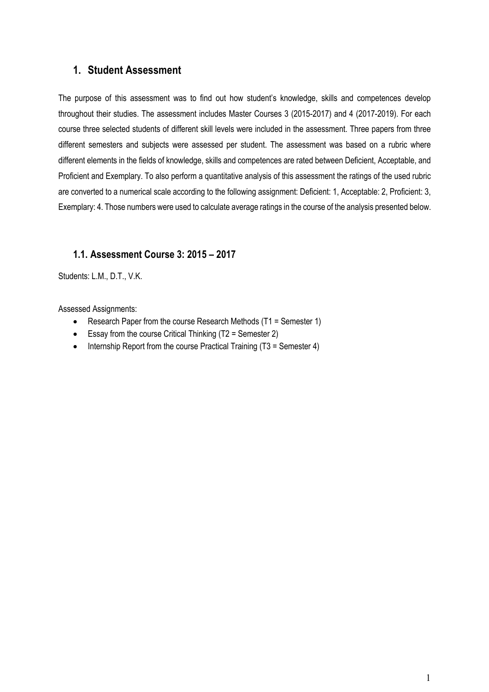#### **1. Student Assessment**

The purpose of this assessment was to find out how student's knowledge, skills and competences develop throughout their studies. The assessment includes Master Courses 3 (2015-2017) and 4 (2017-2019). For each course three selected students of different skill levels were included in the assessment. Three papers from three different semesters and subjects were assessed per student. The assessment was based on a rubric where different elements in the fields of knowledge, skills and competences are rated between Deficient, Acceptable, and Proficient and Exemplary. To also perform a quantitative analysis of this assessment the ratings of the used rubric are converted to a numerical scale according to the following assignment: Deficient: 1, Acceptable: 2, Proficient: 3, Exemplary: 4. Those numbers were used to calculate average ratings in the course of the analysis presented below.

#### **1.1. Assessment Course 3: 2015 – 2017**

Students: L.M., D.T., V.K.

Assessed Assignments:

- Research Paper from the course Research Methods (T1 = Semester 1)
- Essay from the course Critical Thinking (T2 = Semester 2)
- Internship Report from the course Practical Training (T3 = Semester 4)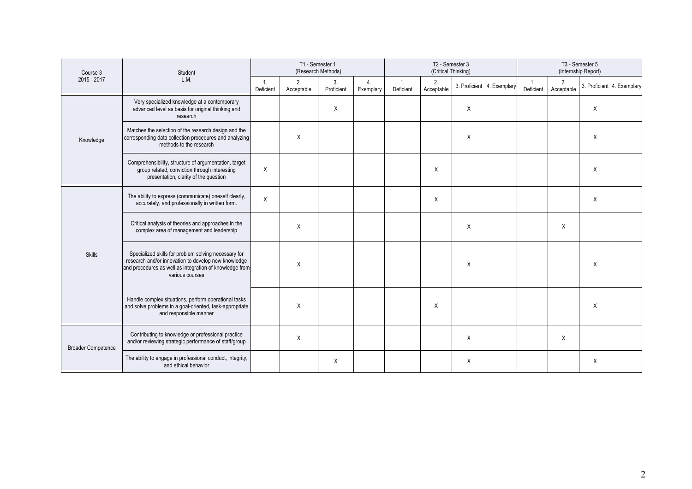| Course 3                  | Student                                                                                                                                                                                   | T1 - Semester 1<br>(Research Methods) |                  |                  | T2 - Semester 3<br>(Critical Thinking) |                 |                  |                            | T3 - Semester 5<br>(Internship Report) |                             |                  |                            |  |
|---------------------------|-------------------------------------------------------------------------------------------------------------------------------------------------------------------------------------------|---------------------------------------|------------------|------------------|----------------------------------------|-----------------|------------------|----------------------------|----------------------------------------|-----------------------------|------------------|----------------------------|--|
| 2015 - 2017               | L.M.                                                                                                                                                                                      | 1.<br>Deficient                       | 2.<br>Acceptable | 3.<br>Proficient | 4.<br>Exemplary                        | 1.<br>Deficient | 2.<br>Acceptable | 3. Proficient 4. Exemplary |                                        | $\mathbf{1}$ .<br>Deficient | 2.<br>Acceptable | 3. Proficient 4. Exemplary |  |
|                           | Very specialized knowledge at a contemporary<br>advanced level as basis for original thinking and<br>research                                                                             |                                       |                  | X                |                                        |                 |                  | X                          |                                        |                             |                  | X                          |  |
| Knowledge                 | Matches the selection of the research design and the<br>corresponding data collection procedures and analyzing<br>methods to the research                                                 |                                       | X                |                  |                                        |                 |                  | $\sf X$                    |                                        |                             |                  | X                          |  |
|                           | Comprehensibility, structure of argumentation, target<br>group related, conviction through interesting<br>presentation, clarity of the question                                           | Χ                                     |                  |                  |                                        |                 | X                |                            |                                        |                             |                  | X                          |  |
|                           | The ability to express (communicate) oneself clearly,<br>accurately, and professionally in written form.                                                                                  | Χ                                     |                  |                  |                                        |                 | Χ                |                            |                                        |                             |                  | X                          |  |
|                           | Critical analysis of theories and approaches in the<br>complex area of management and leadership                                                                                          |                                       | X                |                  |                                        |                 |                  | $\sf X$                    |                                        |                             | X                |                            |  |
| <b>Skills</b>             | Specialized skills for problem solving necessary for<br>research and/or innovation to develop new knowledge<br>and procedures as well as integration of knowledge from<br>various courses |                                       | X                |                  |                                        |                 |                  | $\mathsf{X}$               |                                        |                             |                  | X                          |  |
|                           | Handle complex situations, perform operational tasks<br>and solve problems in a goal-oriented, task-appropriate<br>and responsible manner                                                 |                                       | X                |                  |                                        |                 | X                |                            |                                        |                             |                  | X                          |  |
| <b>Broader Competence</b> | Contributing to knowledge or professional practice<br>and/or reviewing strategic performance of staff/group                                                                               |                                       | X                |                  |                                        |                 |                  | $\sf X$                    |                                        |                             | X                |                            |  |
|                           | The ability to engage in professional conduct, integrity,<br>and ethical behavior                                                                                                         |                                       |                  | X                |                                        |                 |                  | Χ                          |                                        |                             |                  | Χ                          |  |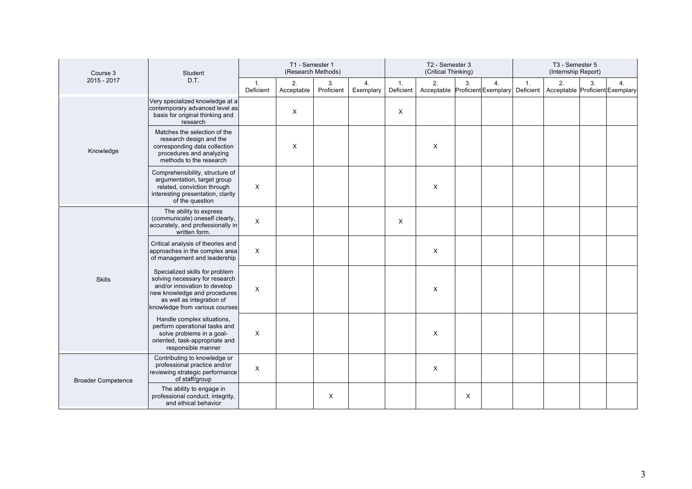| Course 3<br>Student       |                                                                                                                                                                                                 | T1 - Semester 1<br>(Research Methods) |                  |                  |                 | T2 - Semester 3<br>(Critical Thinking) |                                       |    |    | T3 - Semester 5<br>(Internship Report) |                                       |    |    |
|---------------------------|-------------------------------------------------------------------------------------------------------------------------------------------------------------------------------------------------|---------------------------------------|------------------|------------------|-----------------|----------------------------------------|---------------------------------------|----|----|----------------------------------------|---------------------------------------|----|----|
| 2015 - 2017               | D.T.                                                                                                                                                                                            | $\mathbf{1}$ .<br>Deficient           | 2.<br>Acceptable | 3.<br>Proficient | 4.<br>Exemplary | 1.<br>Deficient                        | 2.<br>Acceptable Proficient Exemplary | 3. | 4. | $\overline{1}$ .<br>Deficient          | 2.<br>Acceptable Proficient Exemplary | 3. | 4. |
|                           | Very specialized knowledge at a<br>contemporary advanced level as<br>basis for original thinking and<br>research                                                                                |                                       | X                |                  |                 | X                                      |                                       |    |    |                                        |                                       |    |    |
| Knowledge                 | Matches the selection of the<br>research design and the<br>corresponding data collection<br>procedures and analyzing<br>methods to the research                                                 |                                       | X                |                  |                 |                                        | X                                     |    |    |                                        |                                       |    |    |
|                           | Comprehensibility, structure of<br>argumentation, target group<br>related, conviction through<br>interesting presentation, clarity<br>of the question                                           | $\boldsymbol{\mathsf{X}}$             |                  |                  |                 |                                        | X                                     |    |    |                                        |                                       |    |    |
|                           | The ability to express<br>(communicate) oneself clearly,<br>accurately, and professionally in<br>written form.                                                                                  | $\boldsymbol{\mathsf{X}}$             |                  |                  |                 | X                                      |                                       |    |    |                                        |                                       |    |    |
|                           | Critical analysis of theories and<br>approaches in the complex area<br>of management and leadership                                                                                             | $\boldsymbol{\mathsf{X}}$             |                  |                  |                 |                                        | X                                     |    |    |                                        |                                       |    |    |
| <b>Skills</b>             | Specialized skills for problem<br>solving necessary for research<br>and/or innovation to develop<br>new knowledge and procedures<br>as well as integration of<br>knowledge from various courses | X                                     |                  |                  |                 |                                        | X                                     |    |    |                                        |                                       |    |    |
|                           | Handle complex situations,<br>perform operational tasks and<br>solve problems in a goal-<br>oriented, task-appropriate and<br>responsible manner                                                | $\boldsymbol{\mathsf{X}}$             |                  |                  |                 |                                        | X                                     |    |    |                                        |                                       |    |    |
| <b>Broader Competence</b> | Contributing to knowledge or<br>professional practice and/or<br>reviewing strategic performance<br>of staff/group                                                                               | $\boldsymbol{\mathsf{X}}$             |                  |                  |                 |                                        | X                                     |    |    |                                        |                                       |    |    |
|                           | The ability to engage in<br>professional conduct, integrity,<br>and ethical behavior                                                                                                            |                                       |                  | X                |                 |                                        |                                       | X  |    |                                        |                                       |    |    |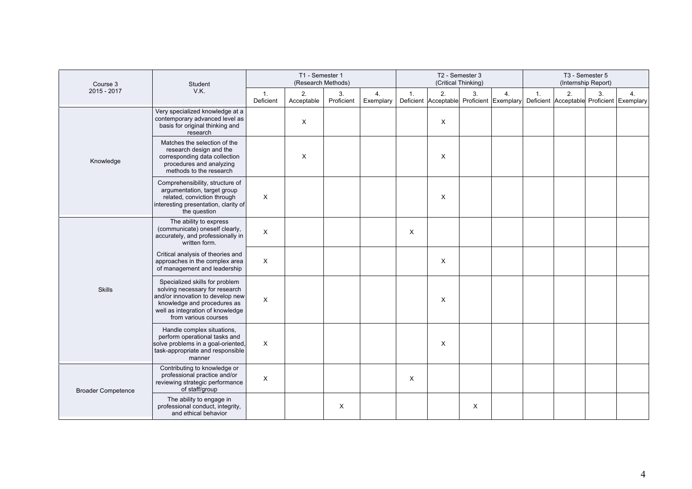| Course 3                  | Student<br>V.K.                                                                                                                                                                                 | T1 - Semester 1<br>(Research Methods) |                  |                           |                 | T2 - Semester 3<br>(Critical Thinking) |    |    |    | T3 - Semester 5<br>(Internship Report) |    |    |                                                                                           |
|---------------------------|-------------------------------------------------------------------------------------------------------------------------------------------------------------------------------------------------|---------------------------------------|------------------|---------------------------|-----------------|----------------------------------------|----|----|----|----------------------------------------|----|----|-------------------------------------------------------------------------------------------|
| 2015 - 2017               |                                                                                                                                                                                                 | 1.<br>Deficient                       | 2.<br>Acceptable | 3.<br>Proficient          | 4.<br>Exemplary | $\mathbf{1}$ .                         | 2. | 3. | 4. | 1.                                     | 2. | 3. | 4.<br>Deficient Acceptable Proficient Exemplary Deficient Acceptable Proficient Exemplary |
|                           | Very specialized knowledge at a<br>contemporary advanced level as<br>basis for original thinking and<br>research                                                                                |                                       | X                |                           |                 |                                        | X  |    |    |                                        |    |    |                                                                                           |
| Knowledge                 | Matches the selection of the<br>research design and the<br>corresponding data collection<br>procedures and analyzing<br>methods to the research                                                 |                                       | X                |                           |                 |                                        | X  |    |    |                                        |    |    |                                                                                           |
|                           | Comprehensibility, structure of<br>argumentation, target group<br>related, conviction through<br>interesting presentation, clarity of<br>the question                                           | X                                     |                  |                           |                 |                                        | X  |    |    |                                        |    |    |                                                                                           |
|                           | The ability to express<br>(communicate) oneself clearly,<br>accurately, and professionally in<br>written form.                                                                                  | X                                     |                  |                           |                 | X                                      |    |    |    |                                        |    |    |                                                                                           |
|                           | Critical analysis of theories and<br>approaches in the complex area<br>of management and leadership                                                                                             | X                                     |                  |                           |                 |                                        | X  |    |    |                                        |    |    |                                                                                           |
| <b>Skills</b>             | Specialized skills for problem<br>solving necessary for research<br>and/or innovation to develop new<br>knowledge and procedures as<br>well as integration of knowledge<br>from various courses | $\times$                              |                  |                           |                 |                                        | X  |    |    |                                        |    |    |                                                                                           |
|                           | Handle complex situations,<br>perform operational tasks and<br>solve problems in a goal-oriented,<br>task-appropriate and responsible<br>manner                                                 | X                                     |                  |                           |                 |                                        | X  |    |    |                                        |    |    |                                                                                           |
| <b>Broader Competence</b> | Contributing to knowledge or<br>professional practice and/or<br>reviewing strategic performance<br>of staff/group                                                                               | X                                     |                  |                           |                 | X                                      |    |    |    |                                        |    |    |                                                                                           |
|                           | The ability to engage in<br>professional conduct, integrity,<br>and ethical behavior                                                                                                            |                                       |                  | $\boldsymbol{\mathsf{X}}$ |                 |                                        |    | X  |    |                                        |    |    |                                                                                           |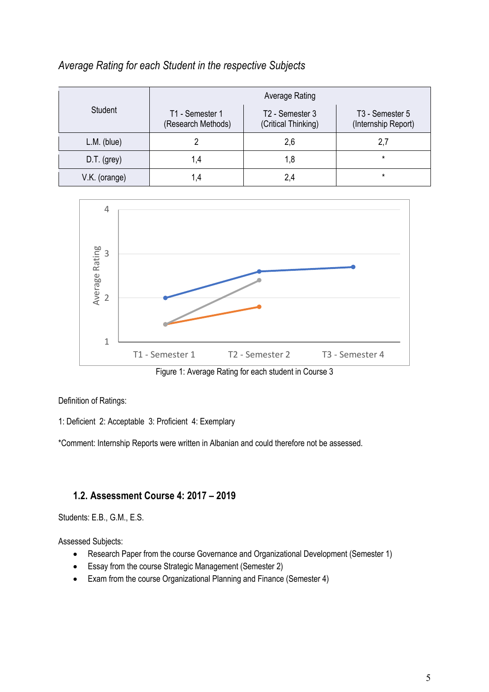|               | Average Rating                        |                                        |                                                    |  |  |  |  |  |  |  |  |
|---------------|---------------------------------------|----------------------------------------|----------------------------------------------------|--|--|--|--|--|--|--|--|
| Student       | T1 - Semester 1<br>(Research Methods) | T2 - Semester 3<br>(Critical Thinking) | T <sub>3</sub> - Semester 5<br>(Internship Report) |  |  |  |  |  |  |  |  |
| $L.M.$ (blue) |                                       | 2,6                                    | 2,7                                                |  |  |  |  |  |  |  |  |
| $D.T.$ (grey) | ۹.4                                   | 1,8                                    | $\star$                                            |  |  |  |  |  |  |  |  |
| V.K. (orange) | .4                                    | 2,4                                    | $\star$                                            |  |  |  |  |  |  |  |  |

### *Average Rating for each Student in the respective Subjects*



Figure 1: Average Rating for each student in Course 3

Definition of Ratings:

1: Deficient 2: Acceptable 3: Proficient 4: Exemplary

\*Comment: Internship Reports were written in Albanian and could therefore not be assessed.

### **1.2. Assessment Course 4: 2017 – 2019**

Students: E.B., G.M., E.S.

Assessed Subjects:

- Research Paper from the course Governance and Organizational Development (Semester 1)
- Essay from the course Strategic Management (Semester 2)
- Exam from the course Organizational Planning and Finance (Semester 4)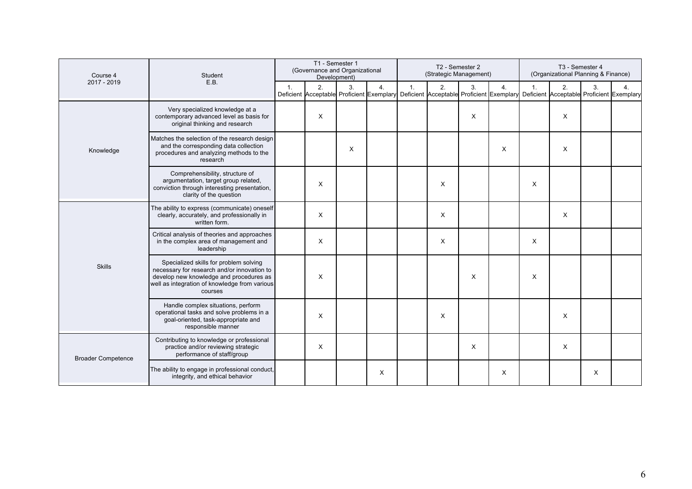| Course 4                  | Student                                                                                                                                                                                      | T1 - Semester 1<br>(Governance and Organizational<br>Development) |          |    |          | T2 - Semester 2<br>(Strategic Management) |                                                                                           |                |    | T3 - Semester 4<br>(Organizational Planning & Finance) |                                                 |          |                |
|---------------------------|----------------------------------------------------------------------------------------------------------------------------------------------------------------------------------------------|-------------------------------------------------------------------|----------|----|----------|-------------------------------------------|-------------------------------------------------------------------------------------------|----------------|----|--------------------------------------------------------|-------------------------------------------------|----------|----------------|
| 2017 - 2019               | E.B.                                                                                                                                                                                         | 1 <sub>1</sub>                                                    | 2.       | 3. | 4.       | 1.                                        | 2.<br>Deficient Acceptable Proficient Exemplary Deficient Acceptable Proficient Exemplary | 3 <sub>1</sub> | 4. | 1.                                                     | 2.<br>Deficient Acceptable Proficient Exemplary | 3.       | $\overline{4}$ |
|                           | Very specialized knowledge at a<br>contemporary advanced level as basis for<br>original thinking and research                                                                                |                                                                   | X        |    |          |                                           |                                                                                           | X              |    |                                                        | X                                               |          |                |
| Knowledge                 | Matches the selection of the research design<br>and the corresponding data collection<br>procedures and analyzing methods to the<br>research                                                 |                                                                   |          | X  |          |                                           |                                                                                           |                | X  |                                                        | X                                               |          |                |
|                           | Comprehensibility, structure of<br>argumentation, target group related,<br>conviction through interesting presentation,<br>clarity of the question                                           |                                                                   | X        |    |          |                                           | X                                                                                         |                |    | X                                                      |                                                 |          |                |
|                           | The ability to express (communicate) oneself<br>clearly, accurately, and professionally in<br>written form.                                                                                  |                                                                   | X        |    |          |                                           | X                                                                                         |                |    |                                                        | X                                               |          |                |
|                           | Critical analysis of theories and approaches<br>in the complex area of management and<br>leadership                                                                                          |                                                                   | $\times$ |    |          |                                           | X                                                                                         |                |    | X                                                      |                                                 |          |                |
| <b>Skills</b>             | Specialized skills for problem solving<br>necessary for research and/or innovation to<br>develop new knowledge and procedures as<br>well as integration of knowledge from various<br>courses |                                                                   | X        |    |          |                                           |                                                                                           | X              |    | X                                                      |                                                 |          |                |
|                           | Handle complex situations, perform<br>operational tasks and solve problems in a<br>goal-oriented, task-appropriate and<br>responsible manner                                                 |                                                                   | X        |    |          |                                           | X                                                                                         |                |    |                                                        | X                                               |          |                |
| <b>Broader Competence</b> | Contributing to knowledge or professional<br>practice and/or reviewing strategic<br>performance of staff/group                                                                               |                                                                   | X        |    |          |                                           |                                                                                           | X              |    |                                                        | X                                               |          |                |
|                           | The ability to engage in professional conduct,<br>integrity, and ethical behavior                                                                                                            |                                                                   |          |    | $\times$ |                                           |                                                                                           |                | X  |                                                        |                                                 | $\times$ |                |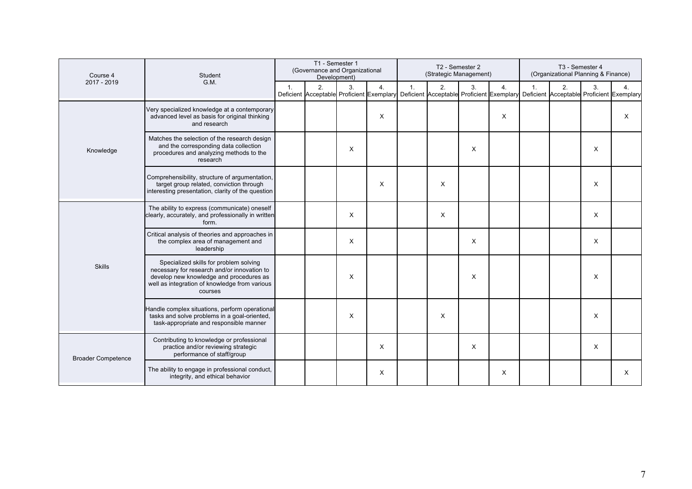| Course 4                  | Student                                                                                                                                                                                      | T1 - Semester 1<br>(Governance and Organizational<br>Development) |    |    |                  | T2 - Semester 2<br>(Strategic Management) |                                                                                           |    |    | T3 - Semester 4<br>(Organizational Planning & Finance) |                                                 |          |                |
|---------------------------|----------------------------------------------------------------------------------------------------------------------------------------------------------------------------------------------|-------------------------------------------------------------------|----|----|------------------|-------------------------------------------|-------------------------------------------------------------------------------------------|----|----|--------------------------------------------------------|-------------------------------------------------|----------|----------------|
| 2017 - 2019               | G.M.                                                                                                                                                                                         | 1 <sub>1</sub>                                                    | 2. | 3. | $\overline{4}$ . | 1.                                        | 2.<br>Deficient Acceptable Proficient Exemplary Deficient Acceptable Proficient Exemplary | 3. | 4. | 1.                                                     | 2.<br>Deficient Acceptable Proficient Exemplary | 3.       | $\overline{4}$ |
|                           | Very specialized knowledge at a contemporary<br>advanced level as basis for original thinking<br>and research                                                                                |                                                                   |    |    | $\times$         |                                           |                                                                                           |    | X  |                                                        |                                                 |          | X              |
| Knowledge                 | Matches the selection of the research design<br>and the corresponding data collection<br>procedures and analyzing methods to the<br>research                                                 |                                                                   |    | X  |                  |                                           |                                                                                           | X  |    |                                                        |                                                 | $\times$ |                |
|                           | Comprehensibility, structure of argumentation,<br>target group related, conviction through<br>interesting presentation, clarity of the question                                              |                                                                   |    |    | X                |                                           | $\times$                                                                                  |    |    |                                                        |                                                 | $\times$ |                |
|                           | The ability to express (communicate) oneself<br>clearly, accurately, and professionally in written<br>form.                                                                                  |                                                                   |    | X  |                  |                                           | X                                                                                         |    |    |                                                        |                                                 | $\times$ |                |
|                           | Critical analysis of theories and approaches in<br>the complex area of management and<br>leadership                                                                                          |                                                                   |    | X  |                  |                                           |                                                                                           | X  |    |                                                        |                                                 | $\times$ |                |
| <b>Skills</b>             | Specialized skills for problem solving<br>necessary for research and/or innovation to<br>develop new knowledge and procedures as<br>well as integration of knowledge from various<br>courses |                                                                   |    | X  |                  |                                           |                                                                                           | X  |    |                                                        |                                                 | X        |                |
|                           | Handle complex situations, perform operational<br>tasks and solve problems in a goal-oriented,<br>task-appropriate and responsible manner                                                    |                                                                   |    | X  |                  |                                           | X                                                                                         |    |    |                                                        |                                                 | X        |                |
| <b>Broader Competence</b> | Contributing to knowledge or professional<br>practice and/or reviewing strategic<br>performance of staff/group                                                                               |                                                                   |    |    | X                |                                           |                                                                                           | X  |    |                                                        |                                                 | $\times$ |                |
|                           | The ability to engage in professional conduct,<br>integrity, and ethical behavior                                                                                                            |                                                                   |    |    | X                |                                           |                                                                                           |    | X  |                                                        |                                                 |          | X              |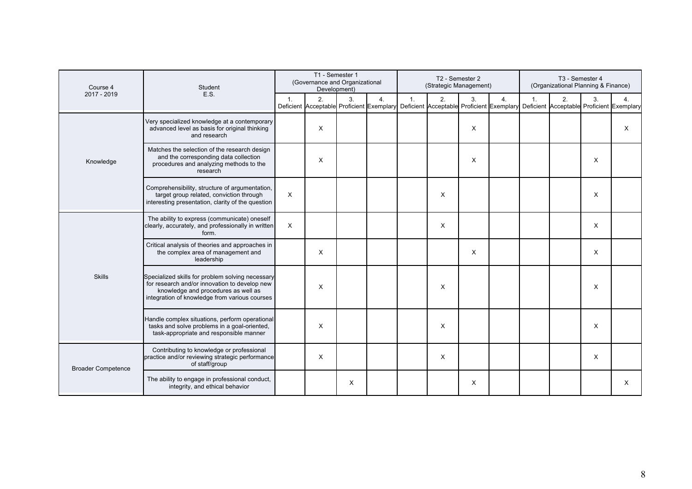| Course 4                  | Student                                                                                                                                                                                   | T1 - Semester 1<br>(Governance and Organizational<br>Development) |    |    |                  | T2 - Semester 2<br>(Strategic Management) |                                                                                                                                     |    |    | T3 - Semester 4<br>(Organizational Planning & Finance) |    |    |                |
|---------------------------|-------------------------------------------------------------------------------------------------------------------------------------------------------------------------------------------|-------------------------------------------------------------------|----|----|------------------|-------------------------------------------|-------------------------------------------------------------------------------------------------------------------------------------|----|----|--------------------------------------------------------|----|----|----------------|
| 2017 - 2019               | E.S.                                                                                                                                                                                      | 1.                                                                | 2. | 3. | $\overline{4}$ . | 1.                                        | 2.<br>Deficient Acceptable Proficient Exemplary Deficient Acceptable Proficient Exemplary Deficient Acceptable Proficient Exemplary | 3. | 4. | $\mathbf{1}$                                           | 2. | 3. | $\overline{4}$ |
|                           | Very specialized knowledge at a contemporary<br>advanced level as basis for original thinking<br>and research                                                                             |                                                                   | X  |    |                  |                                           |                                                                                                                                     | X  |    |                                                        |    |    | X              |
| Knowledge                 | Matches the selection of the research design<br>and the corresponding data collection<br>procedures and analyzing methods to the<br>research                                              |                                                                   | X  |    |                  |                                           |                                                                                                                                     | X  |    |                                                        |    | X  |                |
|                           | Comprehensibility, structure of argumentation,<br>target group related, conviction through<br>interesting presentation, clarity of the question                                           | X                                                                 |    |    |                  |                                           | X                                                                                                                                   |    |    |                                                        |    | X  |                |
|                           | The ability to express (communicate) oneself<br>clearly, accurately, and professionally in written<br>form.                                                                               | X                                                                 |    |    |                  |                                           | X                                                                                                                                   |    |    |                                                        |    | X  |                |
|                           | Critical analysis of theories and approaches in<br>the complex area of management and<br>leadership                                                                                       |                                                                   | X  |    |                  |                                           |                                                                                                                                     | X  |    |                                                        |    | X  |                |
| <b>Skills</b>             | Specialized skills for problem solving necessary<br>for research and/or innovation to develop new<br>knowledge and procedures as well as<br>integration of knowledge from various courses |                                                                   | X  |    |                  |                                           | X                                                                                                                                   |    |    |                                                        |    | X  |                |
|                           | Handle complex situations, perform operational<br>tasks and solve problems in a goal-oriented,<br>task-appropriate and responsible manner                                                 |                                                                   | X  |    |                  |                                           | X                                                                                                                                   |    |    |                                                        |    | X  |                |
| <b>Broader Competence</b> | Contributing to knowledge or professional<br>practice and/or reviewing strategic performance<br>of staff/group                                                                            |                                                                   | X  |    |                  |                                           | X                                                                                                                                   |    |    |                                                        |    | X  |                |
|                           | The ability to engage in professional conduct,<br>integrity, and ethical behavior                                                                                                         |                                                                   |    | X  |                  |                                           |                                                                                                                                     | X  |    |                                                        |    |    | X              |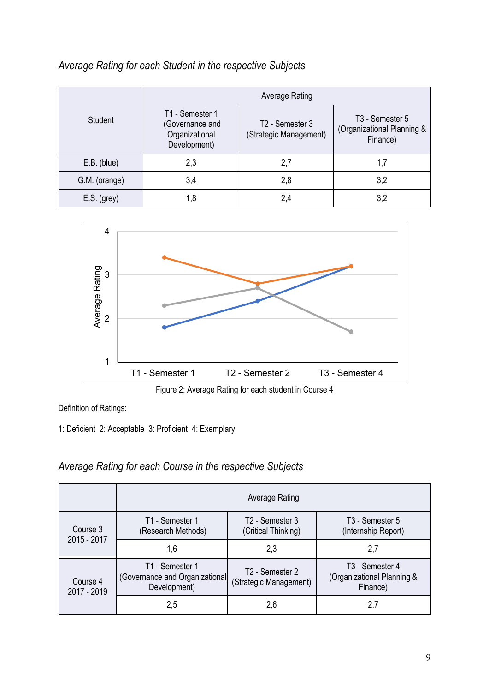# *Average Rating for each Student in the respective Subjects*

|               |                                                                      | Average Rating                            |                                                                       |  |  |  |  |  |  |  |  |  |
|---------------|----------------------------------------------------------------------|-------------------------------------------|-----------------------------------------------------------------------|--|--|--|--|--|--|--|--|--|
| Student       | T1 - Semester 1<br>(Governance and<br>Organizational<br>Development) | T2 - Semester 3<br>(Strategic Management) | T <sub>3</sub> - Semester 5<br>(Organizational Planning &<br>Finance) |  |  |  |  |  |  |  |  |  |
| E.B. (blue)   | 2,3                                                                  | 2,7                                       | 1,7                                                                   |  |  |  |  |  |  |  |  |  |
| G.M. (orange) | 3,4                                                                  | 2,8                                       | 3,2                                                                   |  |  |  |  |  |  |  |  |  |
| $E.S.$ (grey) | 1,8                                                                  | 2,4                                       | 3,2                                                                   |  |  |  |  |  |  |  |  |  |





Definition of Ratings:

1: Deficient 2: Acceptable 3: Proficient 4: Exemplary

# *Average Rating for each Course in the respective Subjects*

|                                                                                              | Average Rating                        |                                                    |                                                                       |  |  |  |  |  |  |  |
|----------------------------------------------------------------------------------------------|---------------------------------------|----------------------------------------------------|-----------------------------------------------------------------------|--|--|--|--|--|--|--|
| Course 3<br>2015 - 2017                                                                      | T1 - Semester 1<br>(Research Methods) | T <sub>2</sub> - Semester 3<br>(Critical Thinking) | T <sub>3</sub> - Semester 5<br>(Internship Report)                    |  |  |  |  |  |  |  |
|                                                                                              | 1,6                                   | 2,3                                                | 2,7                                                                   |  |  |  |  |  |  |  |
| T1 - Semester 1<br>(Governance and Organizational<br>Course 4<br>Development)<br>2017 - 2019 |                                       | T2 - Semester 2<br>(Strategic Management)          | T <sub>3</sub> - Semester 4<br>(Organizational Planning &<br>Finance) |  |  |  |  |  |  |  |
|                                                                                              | 2,5                                   | 2,6                                                | 2,7                                                                   |  |  |  |  |  |  |  |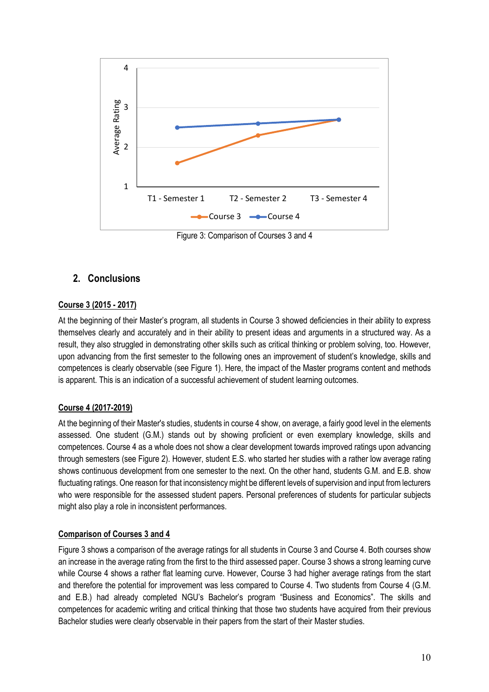

**2. Conclusions**

#### **Course 3 (2015 - 2017)**

At the beginning of their Master's program, all students in Course 3 showed deficiencies in their ability to express themselves clearly and accurately and in their ability to present ideas and arguments in a structured way. As a result, they also struggled in demonstrating other skills such as critical thinking or problem solving, too. However, upon advancing from the first semester to the following ones an improvement of student's knowledge, skills and competences is clearly observable (see Figure 1). Here, the impact of the Master programs content and methods is apparent. This is an indication of a successful achievement of student learning outcomes.

#### **Course 4 (2017-2019)**

At the beginning of their Master's studies, students in course 4 show, on average, a fairly good level in the elements assessed. One student (G.M.) stands out by showing proficient or even exemplary knowledge, skills and competences. Course 4 as a whole does not show a clear development towards improved ratings upon advancing through semesters (see Figure 2). However, student E.S. who started her studies with a rather low average rating shows continuous development from one semester to the next. On the other hand, students G.M. and E.B. show fluctuating ratings. One reason for that inconsistency might be different levels of supervision and input from lecturers who were responsible for the assessed student papers. Personal preferences of students for particular subjects might also play a role in inconsistent performances.

#### **Comparison of Courses 3 and 4**

Figure 3 shows a comparison of the average ratings for all students in Course 3 and Course 4. Both courses show an increase in the average rating from the first to the third assessed paper. Course 3 shows a strong learning curve while Course 4 shows a rather flat learning curve. However, Course 3 had higher average ratings from the start and therefore the potential for improvement was less compared to Course 4. Two students from Course 4 (G.M. and E.B.) had already completed NGU's Bachelor's program "Business and Economics". The skills and competences for academic writing and critical thinking that those two students have acquired from their previous Bachelor studies were clearly observable in their papers from the start of their Master studies.